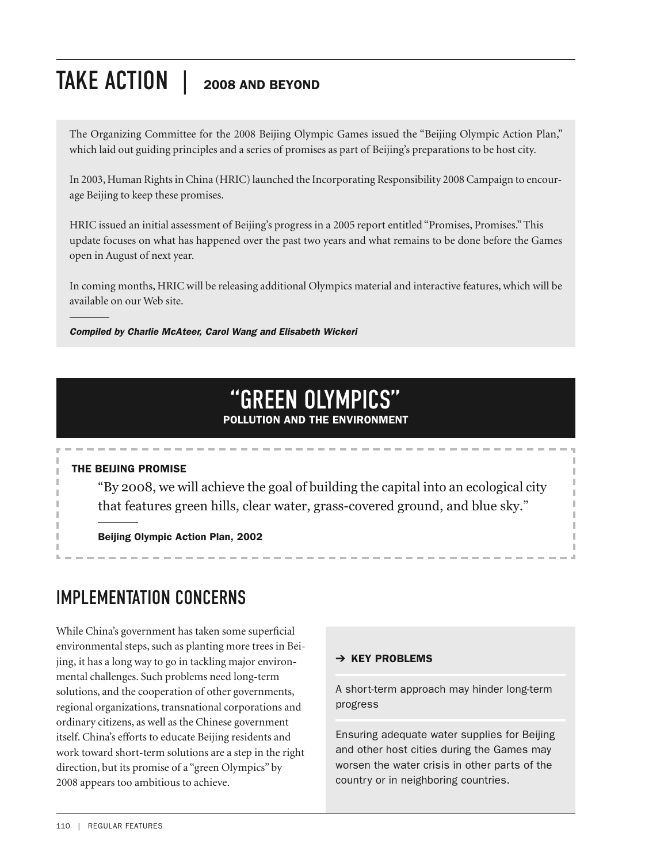# TAKE ACTION | **<sup>2008</sup> AND BEYOND**

The Organizing Committee for the 2008 Beijing Olympic Games issued the "Beijing Olympic Action Plan," which laid out guiding principles and a series of promises as part of Beijing's preparations to be host city.

In 2003, Human Rights in China (HRIC) launched the Incorporating Responsibility 2008 Campaign to encourage Beijing to keep these promises.

HRIC issued an initial assessment of Beijing's progress in a 2005 report entitled "Promises, Promises."This update focuses on what has happened over the past two years and what remains to be done before the Games open in August of next year.

In coming months, HRIC will be releasing additional Olympics material and interactive features, which will be available on our Web site.

#### *Compiled by Charlie McAteer, Carol Wang and Elisabeth Wickeri*

# "GREEN OLYMPICS"

#### **POLLUTION AND THE ENVIRONMENT**

#### **THE BEIJING PROMISE**

"By 2008, we will achieve the goal of building the capital into an ecological city that features green hills, clear water, grass-covered ground, and blue sky."

**Beijing Olympic Action Plan, 2002**

# IMPLEMENTATION CONCERNS

While China's government has taken some superficial environmental steps, such as planting more trees in Beijing, it has a long way to go in tackling major environmental challenges. Such problems need long-term solutions, and the cooperation of other governments, regional organizations, transnational corporations and ordinary citizens, as well as the Chinese government itself. China's efforts to educate Beijing residents and work toward short-term solutions are a step in the right direction, but its promise of a "green Olympics" by 2008 appears too ambitious to achieve.

#### ➔ **KEY PROBLEMS**

A short-term approach may hinder long-term progress

Ensuring adequate water supplies for Beijing and other host cities during the Games may worsen the water crisis in other parts of the country or in neighboring countries.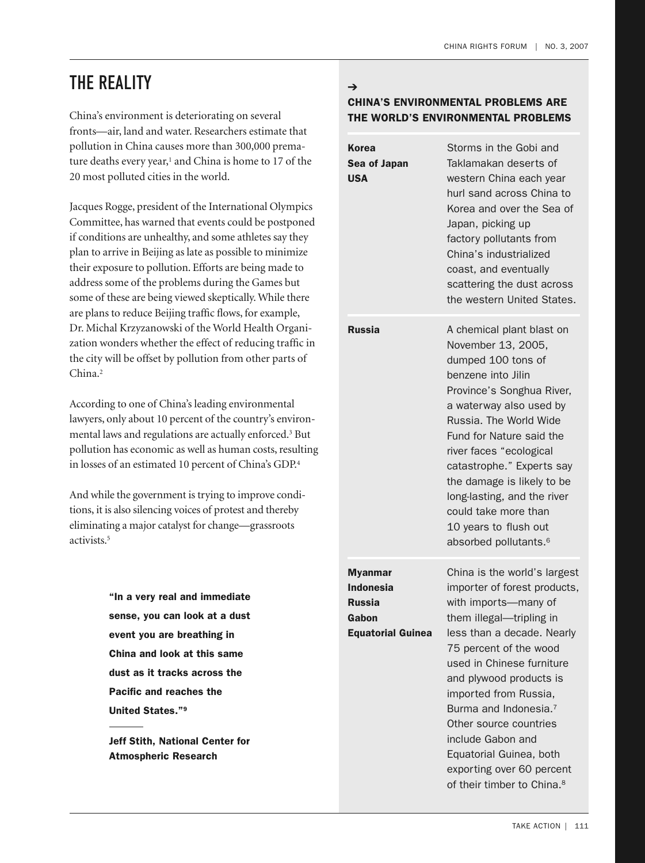### THE REALITY

China's environment is deteriorating on several fronts—air, land and water. Researchers estimate that pollution in China causes more than 300,000 premature deaths every year, <sup>1</sup> and China is home to 17 of the 20 most polluted cities in the world.

Jacques Rogge, president of the International Olympics Committee, has warned that events could be postponed if conditions are unhealthy, and some athletes say they plan to arrive in Beijing as late as possible to minimize their exposure to pollution. Efforts are being made to address some of the problems during the Games but some of these are being viewed skeptically.While there are plans to reduce Beijing traffic flows, for example, Dr. Michal Krzyzanowski of the World Health Organization wonders whether the effect of reducing traffic in the city will be offset by pollution from other parts of China. 2

According to one of China's leading environmental lawyers, only about 10 percent of the country's environmental laws and regulations are actually enforced. <sup>3</sup> But pollution has economic as well as human costs, resulting in losses of an estimated 10 percent of China's GDP. 4

And while the government is trying to improve conditions, it is also silencing voices of protest and thereby eliminating a major catalyst for change—grassroots activists. 5

> **"In a very real and immediate sense, you can look at a dust event you are breathing in China and look at this same dust as it tracks across the Pacific and reaches the United States."9**

> **Jeff Stith, National Center for Atmospheric Research**

#### ➔ **CHINA'S ENVIRONMENTAL PROBLEMS ARE THE WORLD'S ENVIRONMENTAL PROBLEMS**

| Korea<br>Sea of Japan<br><b>USA</b>                                                      | Storms in the Gobi and<br>Taklamakan deserts of<br>western China each year<br>hurl sand across China to<br>Korea and over the Sea of<br>Japan, picking up<br>factory pollutants from<br>China's industrialized<br>coast, and eventually<br>scattering the dust across<br>the western United States.                                                                                                                                             |
|------------------------------------------------------------------------------------------|-------------------------------------------------------------------------------------------------------------------------------------------------------------------------------------------------------------------------------------------------------------------------------------------------------------------------------------------------------------------------------------------------------------------------------------------------|
| <b>Russia</b>                                                                            | A chemical plant blast on<br>November 13, 2005,<br>dumped 100 tons of<br>benzene into Jilin<br>Province's Songhua River,<br>a waterway also used by<br>Russia. The World Wide<br>Fund for Nature said the<br>river faces "ecological<br>catastrophe." Experts say<br>the damage is likely to be<br>long-lasting, and the river<br>could take more than<br>10 years to flush out<br>absorbed pollutants. <sup>6</sup>                            |
| <b>Myanmar</b><br><b>Indonesia</b><br><b>Russia</b><br>Gabon<br><b>Equatorial Guinea</b> | China is the world's largest<br>importer of forest products,<br>with imports-many of<br>them illegal-tripling in<br>less than a decade. Nearly<br>75 percent of the wood<br>used in Chinese furniture<br>and plywood products is<br>imported from Russia,<br>Burma and Indonesia. <sup>7</sup><br>Other source countries<br>include Gabon and<br>Equatorial Guinea, both<br>exporting over 60 percent<br>of their timber to China. <sup>8</sup> |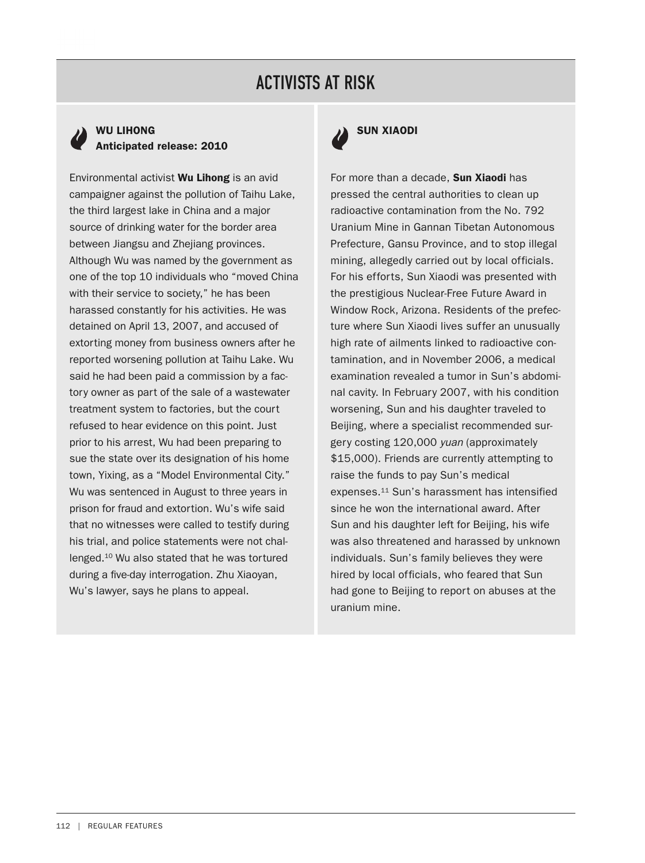# ACTIVISTS AT RISK

#### **WU LIHONG Anticipated release: 2010**

Environmental activist **Wu Lihong** is an avid campaigner against the pollution of Taihu Lake, the third largest lake in China and a major source of drinking water for the border area between Jiangsu and Zhejiang provinces. Although Wu was named by the government as one of the top 10 individuals who "moved China with their service to society," he has been harassed constantly for his activities. He was detained on April 13, 2007, and accused of extorting money from business owners after he reported worsening pollution at Taihu Lake. Wu said he had been paid a commission by a factory owner as part of the sale of a wastewater treatment system to factories, but the court refused to hear evidence on this point. Just prior to his arrest, Wu had been preparing to sue the state over its designation of his home town, Yixing, as a "Model Environmental City." Wu was sentenced in August to three years in prison for fraud and extortion. Wu's wife said that no witnesses were called to testify during his trial, and police statements were not challenged.10 Wu also stated that he was tortured during a five-day interrogation. Zhu Xiaoyan, Wu's lawyer, says he plans to appeal.



For more than a decade, **Sun Xiaodi** has pressed the central authorities to clean up radioactive contamination from the No. 792 Uranium Mine in Gannan Tibetan Autonomous Prefecture, Gansu Province, and to stop illegal mining, allegedly carried out by local officials. For his efforts, Sun Xiaodi was presented with the prestigious Nuclear-Free Future Award in Window Rock, Arizona. Residents of the prefecture where Sun Xiaodi lives suffer an unusually high rate of ailments linked to radioactive contamination, and in November 2006, a medical examination revealed a tumor in Sun's abdominal cavity. In February 2007, with his condition worsening, Sun and his daughter traveled to Beijing, where a specialist recommended surgery costing 120,000 yuan (approximately \$15,000). Friends are currently attempting to raise the funds to pay Sun's medical expenses.11 Sun's harassment has intensified since he won the international award. After Sun and his daughter left for Beijing, his wife was also threatened and harassed by unknown individuals. Sun's family believes they were hired by local officials, who feared that Sun had gone to Beijing to report on abuses at the uranium mine.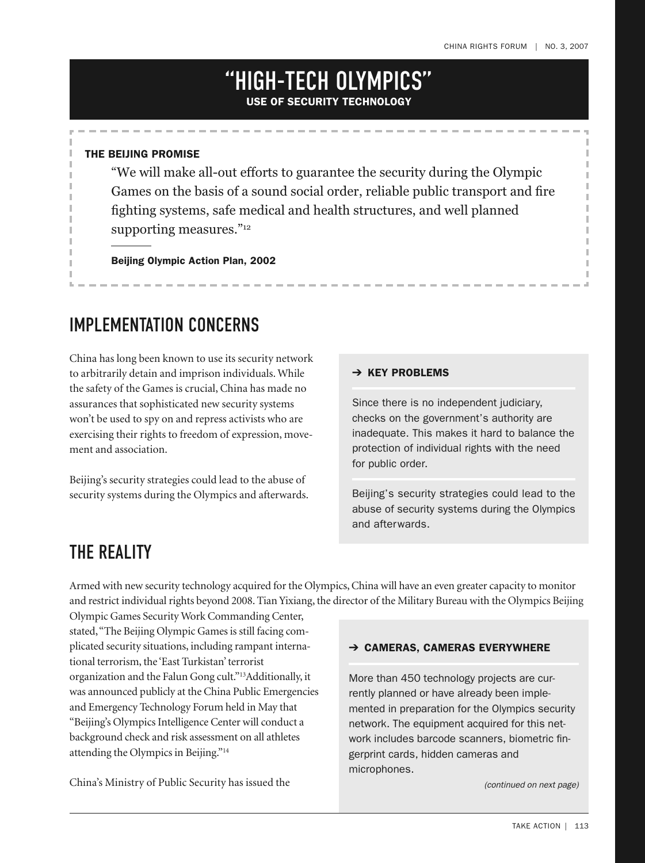### "HIGH-TECH OLYMPICS" **USE OF SECURITY TECHNOLOGY**

#### **THE BEIJING PROMISE**

"We will make all-out efforts to guarantee the security during the Olympic Games on the basis of a sound social order, reliable public transport and fire fighting systems, safe medical and health structures, and well planned supporting measures."<sup>12</sup>

**Beijing Olympic Action Plan, 2002**

## IMPLEMENTATION CONCERNS

China has long been known to use its security network to arbitrarily detain and imprison individuals.While the safety of the Games is crucial, China has made no assurances that sophisticated new security systems won't be used to spy on and repress activists who are exercising their rights to freedom of expression, movement and association.

Beijing's security strategies could lead to the abuse of security systems during the Olympics and afterwards.

#### ➔ **KEY PROBLEMS**

Since there is no independent judiciary, checks on the government's authority are inadequate. This makes it hard to balance the protection of individual rights with the need for public order.

Beijing's security strategies could lead to the abuse of security systems during the Olympics and afterwards.

### THE REALITY

Armed with new security technology acquired for the Olympics,China will have an even greater capacity to monitor and restrict individual rights beyond 2008. Tian Yixiang, the director of the Military Bureau with the Olympics Beijing

Olympic Games Security Work Commanding Center, stated,"The Beijing Olympic Games is still facing complicated security situations, including rampant international terrorism, the 'East Turkistan'terrorist organization and the Falun Gong cult."13 Additionally, it was announced publicly at the China Public Emergencies and Emergency Technology Forum held in May that "Beijing's Olympics Intelligence Center will conduct a background check and risk assessment on all athletes attending the Olympics in Beijing."14

China's Ministry of Public Security has issued the

#### ➔ **CAMERAS, CAMERAS EVERYWHERE**

More than 450 technology projects are currently planned or have already been implemented in preparation for the Olympics security network. The equipment acquired for this network includes barcode scanners, biometric fingerprint cards, hidden cameras and microphones.

(continued on next page)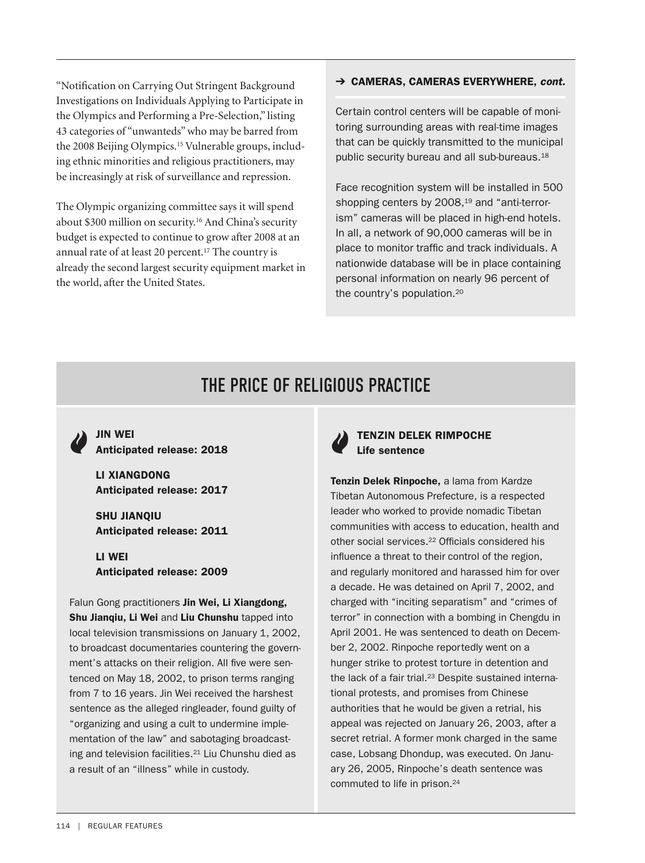"Notification on Carrying Out Stringent Background Investigations on Individuals Applying to Participate in the Olympics and Performing a Pre-Selection," listing 43 categories of "unwanteds"who may be barred from the 2008 Beijing Olympics.15 Vulnerable groups, including ethnic minorities and religious practitioners, may be increasingly at risk of surveillance and repression.

The Olympic organizing committee says it will spend about \$300 million on security. <sup>16</sup> And China's security budget is expected to continue to grow after 2008 at an annual rate of at least 20 percent.17 The country is already the second largest security equipment market in the world, after the United States.

#### ➔ **CAMERAS, CAMERAS EVERYWHERE,** *cont.*

Certain control centers will be capable of monitoring surrounding areas with real-time images that can be quickly transmitted to the municipal public security bureau and all sub-bureaus.18

Face recognition system will be installed in 500 shopping centers by 2008,<sup>19</sup> and "anti-terrorism" cameras will be placed in high-end hotels. In all, a network of 90,000 cameras will be in place to monitor traffic and track individuals. A nationwide database will be in place containing personal information on nearly 96 percent of the country's population.20

## IMPLEMENTATION CONCERNS THE PRICE OF RELIGIOUS PRACTICE

**JIN WEI Anticipated release: 2018**

**LI XIANGDONG Anticipated release: 2017**

**SHU JIANQIU Anticipated release: 2011**

**LI WEI Anticipated release: 2009**

Falun Gong practitioners **Jin Wei, Li Xiangdong, Shu Jianqiu, Li Wei** and **Liu Chunshu** tapped into local television transmissions on January 1, 2002, to broadcast documentaries countering the government's attacks on their religion. All five were sentenced on May 18, 2002, to prison terms ranging from 7 to 16 years. Jin Wei received the harshest sentence as the alleged ringleader, found guilty of "organizing and using a cult to undermine implementation of the law" and sabotaging broadcasting and television facilities.21 Liu Chunshu died as a result of an "illness" while in custody.

#### **TENZIN DELEK RIMPOCHE Life sentence**

**Tenzin Delek Rinpoche,** a lama from Kardze Tibetan Autonomous Prefecture, is a respected leader who worked to provide nomadic Tibetan communities with access to education, health and other social services.22 Officials considered his influence a threat to their control of the region, and regularly monitored and harassed him for over a decade. He was detained on April 7, 2002, and charged with "inciting separatism" and "crimes of terror" in connection with a bombing in Chengdu in April 2001. He was sentenced to death on December 2, 2002. Rinpoche reportedly went on a hunger strike to protest torture in detention and the lack of a fair trial.<sup>23</sup> Despite sustained international protests, and promises from Chinese authorities that he would be given a retrial, his appeal was rejected on January 26, 2003, after a secret retrial. A former monk charged in the same case, Lobsang Dhondup, was executed. On January 26, 2005, Rinpoche's death sentence was commuted to life in prison.<sup>24</sup>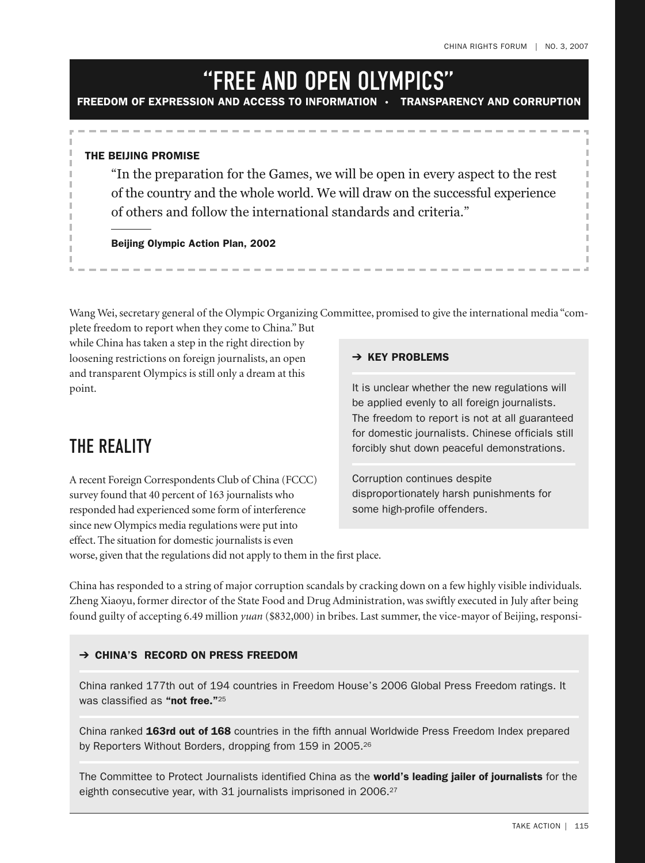# "FREE AND OPEN OLYMPICS"

**FREEDOM OF EXPRESSION AND ACCESS TO INFORMATION • TRANSPARENCY AND CORRUPTION**

#### **THE BEIJING PROMISE**

"In the preparation for the Games, we will be open in every aspect to the rest of the country and the whole world. We will draw on the successful experience of others and follow the international standards and criteria."

**Beijing Olympic Action Plan, 2002**

Wang Wei, secretary general of the Olympic Organizing Committee, promised to give the international media "complete freedom to report when they come to China." But

while China has taken a step in the right direction by loosening restrictions on foreign journalists, an open and transparent Olympics is still only a dream at this point.

### THE REALITY

A recent Foreign Correspondents Club of China (FCCC) survey found that 40 percent of 163 journalists who responded had experienced some form of interference since new Olympics media regulations were put into effect. The situation for domestic journalists is even

#### ➔ **KEY PROBLEMS**

It is unclear whether the new regulations will be applied evenly to all foreign journalists. The freedom to report is not at all guaranteed for domestic journalists. Chinese officials still forcibly shut down peaceful demonstrations.

Corruption continues despite disproportionately harsh punishments for some high-profile offenders.

worse, given that the regulations did not apply to them in the first place.

China has responded to a string of major corruption scandals by cracking down on a few highly visible individuals. Zheng Xiaoyu, former director of the State Food and Drug Administration, was swiftly executed in July after being found guilty of accepting 6.49 million *yuan* (\$832,000) in bribes. Last summer, the vice-mayor of Beijing,responsi-

#### ➔ **CHINA'S RECORD ON PRESS FREEDOM**

China ranked 177th out of 194 countries in Freedom House's 2006 Global Press Freedom ratings. It was classified as **"not free."**<sup>25</sup>

China ranked **163rd out of 168** countries in the fifth annual Worldwide Press Freedom Index prepared by Reporters Without Borders, dropping from 159 in 2005.<sup>26</sup>

The Committee to Protect Journalists identified China as the **world's leading jailer of journalists** for the eighth consecutive year, with 31 journalists imprisoned in 2006.<sup>27</sup>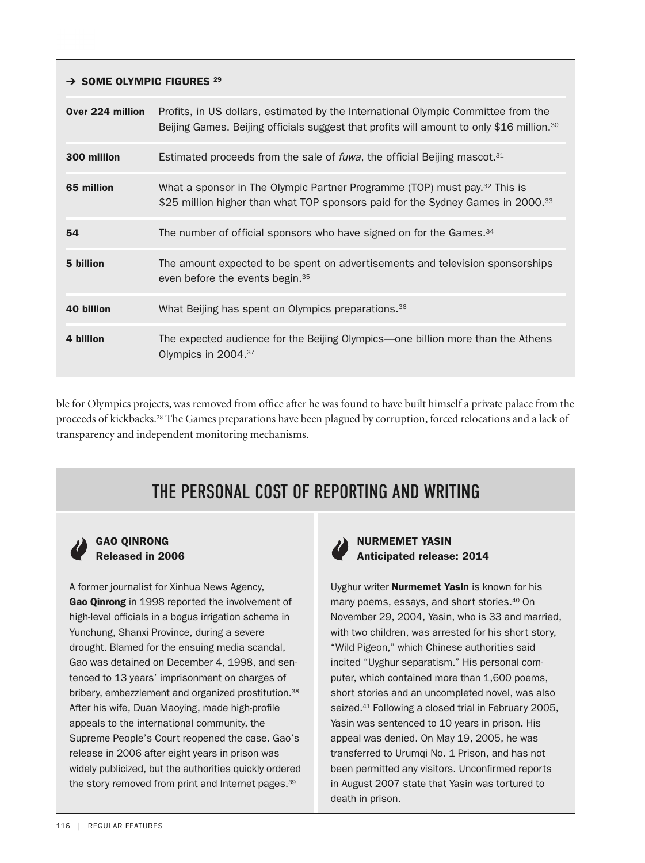#### ➔ **SOME OLYMPIC FIGURES <sup>29</sup>**

| Over 224 million | Profits, in US dollars, estimated by the International Olympic Committee from the<br>Beijing Games. Beijing officials suggest that profits will amount to only \$16 million. <sup>30</sup> |
|------------------|--------------------------------------------------------------------------------------------------------------------------------------------------------------------------------------------|
| 300 million      | Estimated proceeds from the sale of <i>fuwa</i> , the official Beijing mascot. <sup>31</sup>                                                                                               |
| 65 million       | What a sponsor in The Olympic Partner Programme (TOP) must pay. <sup>32</sup> This is<br>\$25 million higher than what TOP sponsors paid for the Sydney Games in 2000. <sup>33</sup>       |
| 54               | The number of official sponsors who have signed on for the Games. <sup>34</sup>                                                                                                            |
| 5 billion        | The amount expected to be spent on advertisements and television sponsorships<br>even before the events begin. <sup>35</sup>                                                               |
| 40 billion       | What Beijing has spent on Olympics preparations. <sup>36</sup>                                                                                                                             |
| 4 billion        | The expected audience for the Beijing Olympics—one billion more than the Athens<br>Olympics in 2004. <sup>37</sup>                                                                         |

ble for Olympics projects, was removed from office after he was found to have built himself a private palace from the proceeds of kickbacks.28 The Games preparations have been plagued by corruption, forced relocations and a lack of transparency and independent monitoring mechanisms.

# THE PERSONAL COST OF REPORTING AND WRITING

#### **GAO QINRONG Released in 2006**

A former journalist for Xinhua News Agency, **Gao Qinrong** in 1998 reported the involvement of high-level officials in a bogus irrigation scheme in Yunchung, Shanxi Province, during a severe drought. Blamed for the ensuing media scandal, Gao was detained on December 4, 1998, and sentenced to 13 years' imprisonment on charges of bribery, embezzlement and organized prostitution.<sup>38</sup> After his wife, Duan Maoying, made high-profile appeals to the international community, the Supreme People's Court reopened the case. Gao's release in 2006 after eight years in prison was widely publicized, but the authorities quickly ordered the story removed from print and Internet pages.<sup>39</sup>



**NURMEMET YASIN Anticipated release: 2014**

Uyghur writer **Nurmemet Yasin** is known for his many poems, essays, and short stories.40 On November 29, 2004, Yasin, who is 33 and married, with two children, was arrested for his short story, "Wild Pigeon," which Chinese authorities said incited "Uyghur separatism." His personal computer, which contained more than 1,600 poems, short stories and an uncompleted novel, was also seized.<sup>41</sup> Following a closed trial in February 2005, Yasin was sentenced to 10 years in prison. His appeal was denied. On May 19, 2005, he was transferred to Urumgi No. 1 Prison, and has not been permitted any visitors. Unconfirmed reports in August 2007 state that Yasin was tortured to death in prison.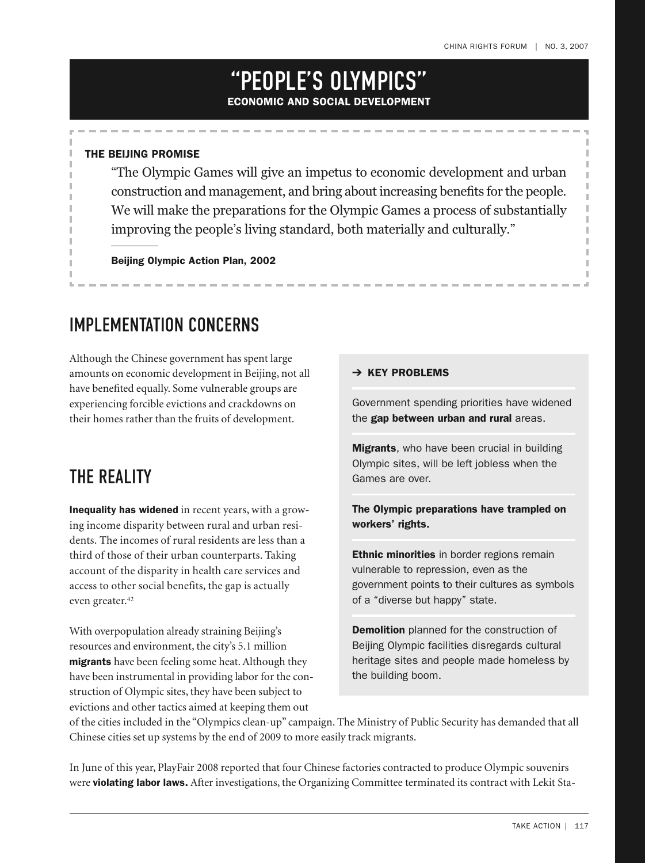## "PEOPLE'S OLYMPICS" **ECONOMIC AND SOCIAL DEVELOPMENT**

#### **THE BEIJING PROMISE**

"The Olympic Games will give an impetus to economic development and urban construction and management, and bring about increasing benefits for the people. We will make the preparations for the Olympic Games a process of substantially improving the people's living standard, both materially and culturally."

**Beijing Olympic Action Plan, 2002**

## IMPLEMENTATION CONCERNS

Although the Chinese government has spent large amounts on economic development in Beijing, not all have benefited equally. Some vulnerable groups are experiencing forcible evictions and crackdowns on their homes rather than the fruits of development.

### THE REALITY

**Inequality has widened** in recent years, with a growing income disparity between rural and urban residents. The incomes of rural residents are less than a third of those of their urban counterparts. Taking account of the disparity in health care services and access to other social benefits, the gap is actually even greater. 42

With overpopulation already straining Beijing's resources and environment, the city's 5.1 million **migrants** have been feeling some heat. Although they have been instrumental in providing labor for the construction of Olympic sites, they have been subject to evictions and other tactics aimed at keeping them out

#### ➔ **KEY PROBLEMS**

Government spending priorities have widened the **gap between urban and rural** areas.

**Migrants**, who have been crucial in building Olympic sites, will be left jobless when the Games are over.

#### **The Olympic preparations have trampled on workers' rights.**

**Ethnic minorities** in border regions remain vulnerable to repression, even as the government points to their cultures as symbols of a "diverse but happy" state.

**Demolition** planned for the construction of Beijing Olympic facilities disregards cultural heritage sites and people made homeless by the building boom.

of the cities included in the "Olympics clean-up" campaign. The Ministry of Public Security has demanded that all Chinese cities set up systems by the end of 2009 to more easily track migrants.

In June of this year, PlayFair 2008 reported that four Chinese factories contracted to produce Olympic souvenirs were **violating labor laws.** After investigations, the Organizing Committee terminated its contract with Lekit Sta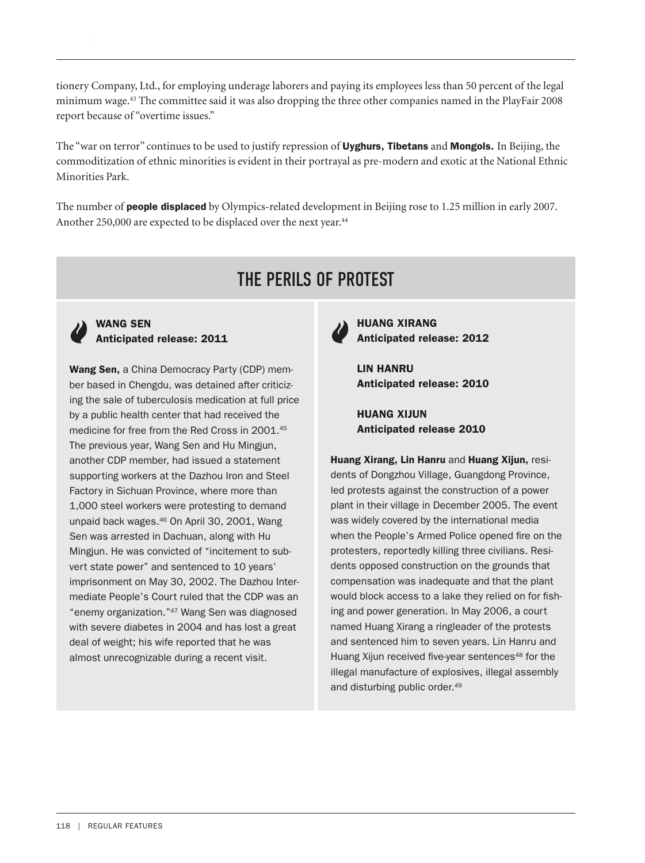tionery Company, Ltd., for employing underage laborers and paying its employees less than 50 percent of the legal minimum wage. <sup>43</sup> The committee said it was also dropping the three other companies named in the PlayFair 2008 report because of "overtime issues."

The "war on terror" continues to be used to justify repression of **Uyghurs, Tibetans** and **Mongols.** In Beijing, the commoditization of ethnic minorities is evident in their portrayal as pre-modern and exotic at the National Ethnic Minorities Park.

The number of **people displaced** by Olympics-related development in Beijing rose to 1.25 million in early 2007. Another 250,000 are expected to be displaced over the next year. 44

# THE PERILS OF PROTEST



#### **WANG SEN Anticipated release: 2011**

**Wang Sen,** a China Democracy Party (CDP) member based in Chengdu, was detained after criticizing the sale of tuberculosis medication at full price by a public health center that had received the medicine for free from the Red Cross in 2001.45 The previous year, Wang Sen and Hu Mingjun, another CDP member, had issued a statement supporting workers at the Dazhou Iron and Steel Factory in Sichuan Province, where more than 1,000 steel workers were protesting to demand unpaid back wages.46 On April 30, 2001, Wang Sen was arrested in Dachuan, along with Hu Mingjun. He was convicted of "incitement to subvert state power" and sentenced to 10 years' imprisonment on May 30, 2002. The Dazhou Intermediate People's Court ruled that the CDP was an "enemy organization."47 Wang Sen was diagnosed with severe diabetes in 2004 and has lost a great deal of weight; his wife reported that he was almost unrecognizable during a recent visit.



**HUANG XIRANG Anticipated release: 2012**

**LIN HANRU Anticipated release: 2010**

**HUANG XIJUN Anticipated release 2010**

**Huang Xirang, Lin Hanru** and **Huang Xijun,** residents of Dongzhou Village, Guangdong Province, led protests against the construction of a power plant in their village in December 2005. The event was widely covered by the international media when the People's Armed Police opened fire on the protesters, reportedly killing three civilians. Residents opposed construction on the grounds that compensation was inadequate and that the plant would block access to a lake they relied on for fishing and power generation. In May 2006, a court named Huang Xirang a ringleader of the protests and sentenced him to seven years. Lin Hanru and Huang Xijun received five-year sentences<sup>48</sup> for the illegal manufacture of explosives, illegal assembly and disturbing public order.49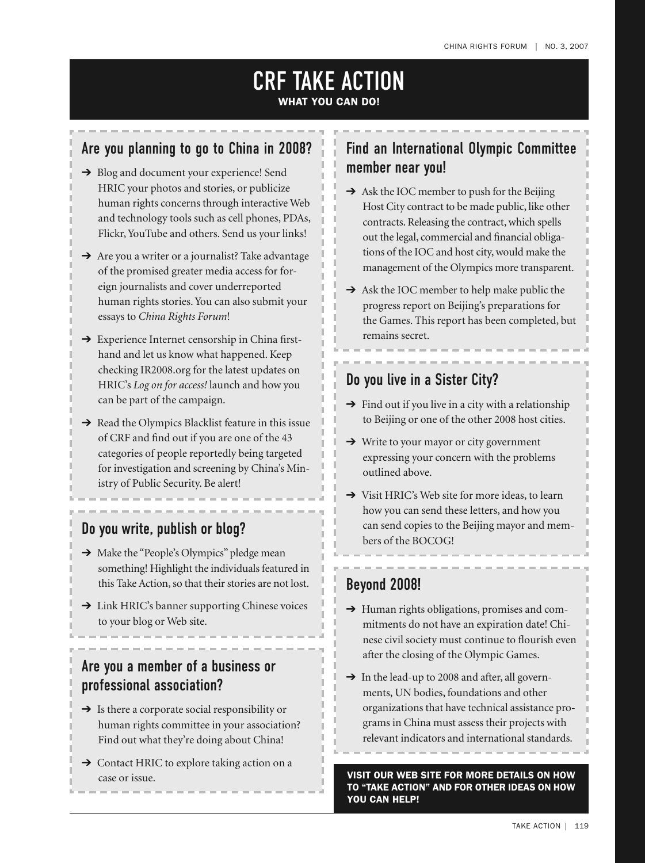### CRF TAKE ACTION **WHAT YOU CAN DO!**

### Are you planning to go to China in 2008?

- → Blog and document your experience! Send HRIC your photos and stories, or publicize human rights concerns through interactive Web and technology tools such as cell phones, PDAs, Flickr,YouTube and others. Send us your links!
- **→** Are you a writer or a journalist? Take advantage of the promised greater media access for foreign journalists and cover underreported human rights stories.You can also submit your essays to *China Rights Forum*!
- ➔ Experience Internet censorship in China firsthand and let us know what happened. Keep checking IR2008.org for the latest updates on HRIC's *Log on for access!* launch and how you can be part of the campaign.
- ➔ Read the Olympics Blacklist feature in this issue of CRF and find out if you are one of the 43 categories of people reportedly being targeted for investigation and screening by China's Ministry of Public Security. Be alert!

### Do you write, publish or blog?

- → Make the "People's Olympics" pledge mean something! Highlight the individuals featured in this Take Action, so that their stories are not lost.
- ➔ Link HRIC's banner supporting Chinese voices to your blog or Web site.

### Are you a member of a business or professional association?

- $\rightarrow$  Is there a corporate social responsibility or human rights committee in your association? Find out what they're doing about China!
- ➔ Contact HRIC to explore taking action on a case or issue.

### Find an International Olympic Committee member near you!

- $\rightarrow$  Ask the IOC member to push for the Beijing Host City contract to be made public, like other contracts. Releasing the contract,which spells out the legal, commercial and financial obligations of the IOC and host city,would make the management of the Olympics more transparent.
- ➔ Ask the IOC member to help make public the progress report on Beijing's preparations for the Games. This report has been completed, but remains secret.

### Do you live in a Sister City?

- $\rightarrow$  Find out if you live in a city with a relationship to Beijing or one of the other 2008 host cities.
- ➔ Write to your mayor or city government expressing your concern with the problems outlined above.
- ➔ Visit HRIC's Web site for more ideas, to learn how you can send these letters, and how you can send copies to the Beijing mayor and members of the BOCOG!

### Beyond 2008!

- ➔ Human rights obligations, promises and commitments do not have an expiration date! Chinese civil society must continue to flourish even after the closing of the Olympic Games.
- → In the lead-up to 2008 and after, all governments, UN bodies, foundations and other organizations that have technical assistance programs in China must assess their projects with relevant indicators and international standards.

**VISIT OUR WEB SITE FOR MORE DETAILS ON HOW TO "TAKE ACTION" AND FOR OTHER IDEAS ON HOW YOU CAN HELP!**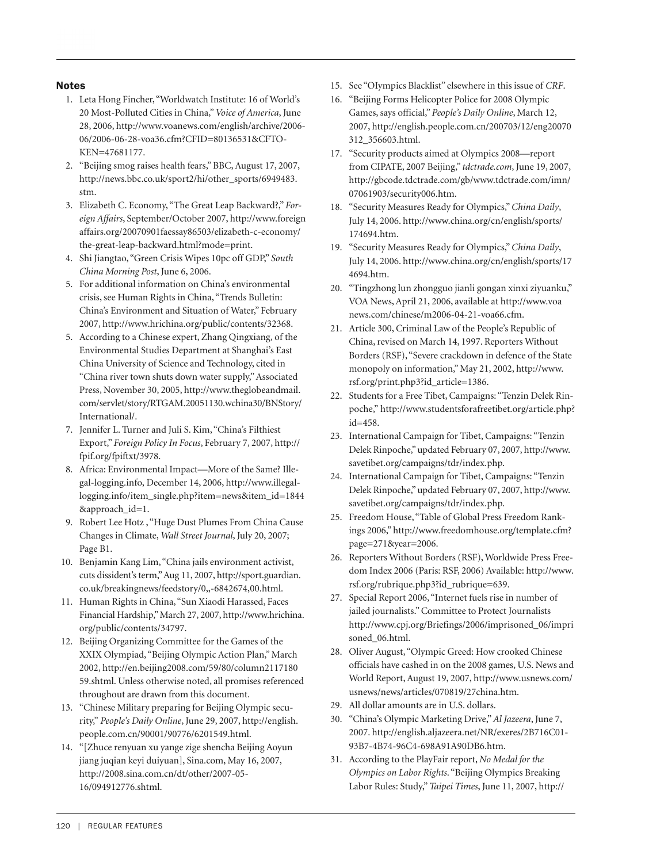#### **Notes**

- 1. Leta Hong Fincher, "Worldwatch Institute: 16 of World's 20 Most-Polluted Cities in China,"*Voice of America*, June 28, 2006, http://www.voanews.com/english/archive/2006- 06/2006-06-28-voa36.cfm?CFID=80136531&CFTO-KEN=47681177.
- 2. "Beijing smog raises health fears," BBC,August 17, 2007, http://news.bbc.co.uk/sport2/hi/other\_sports/6949483. stm.
- 3. Elizabeth C. Economy, "The Great Leap Backward?," *Foreign Affairs*, September/October 2007, http://www.foreign affairs.org/20070901faessay86503/elizabeth-c-economy/ the-great-leap-backward.html?mode=print.
- 4. Shi Jiangtao, "Green Crisis Wipes 10pc off GDP," *South China Morning Post*, June 6, 2006.
- 5. For additional information on China's environmental crisis, see Human Rights in China, "Trends Bulletin: China's Environment and Situation of Water," February 2007, http://www.hrichina.org/public/contents/32368.
- 5. According to a Chinese expert, Zhang Qingxiang, of the Environmental Studies Department at Shanghai's East China University of Science and Technology, cited in "China river town shuts down water supply,"Associated Press, November 30, 2005, http://www.theglobeandmail. com/servlet/story/RTGAM.20051130.wchina30/BNStory/ International/.
- 7. Jennifer L. Turner and Juli S. Kim, "China's Filthiest Export," *Foreign Policy In Focus*, February 7, 2007, http:// fpif.org/fpiftxt/3978.
- 8. Africa: Environmental Impact—More of the Same? Illegal-logging.info, December 14, 2006, http://www.illegallogging.info/item\_single.php?item=news&item\_id=1844 &approach\_id=1.
- 9. Robert Lee Hotz , "Huge Dust Plumes From China Cause Changes in Climate, *Wall Street Journal*, July 20, 2007; Page B1.
- 10. Benjamin Kang Lim, "China jails environment activist, cuts dissident's term,"Aug 11, 2007, http://sport.guardian. co.uk/breakingnews/feedstory/0,,-6842674,00.html.
- 11. Human Rights in China, "Sun Xiaodi Harassed, Faces Financial Hardship,"March 27, 2007, http://www.hrichina. org/public/contents/34797.
- 12. Beijing Organizing Committee for the Games of the XXIX Olympiad, "Beijing Olympic Action Plan,"March 2002, http://en.beijing2008.com/59/80/column2117180 59.shtml. Unless otherwise noted, all promises referenced throughout are drawn from this document.
- 13. "Chinese Military preparing for Beijing Olympic security," *People's Daily Online*, June 29, 2007, http://english. people.com.cn/90001/90776/6201549.html.
- 14. "[Zhuce renyuan xu yange zige shencha Beijing Aoyun jiang juqian keyi duiyuan], Sina.com, May 16, 2007, http://2008.sina.com.cn/dt/other/2007-05- 16/094912776.shtml.
- 15. See "OIympics Blacklist" elsewhere in this issue of *CRF*.
- 16. "Beijing Forms Helicopter Police for 2008 Olympic Games,says official," *People's Daily Online*, March 12, 2007, http://english.people.com.cn/200703/12/eng20070 312\_356603.html.
- 17. "Security products aimed at Olympics 2008—report from CIPATE, 2007 Beijing," *tdctrade.com*, June 19, 2007, http://gbcode.tdctrade.com/gb/www.tdctrade.com/imn/ 07061903/security006.htm.
- 18. "Security Measures Ready for Olympics,"*China Daily*, July 14, 2006. http://www.china.org/cn/english/sports/ 174694.htm.
- 19. "Security Measures Ready for Olympics,"*China Daily*, July 14, 2006. http://www.china.org/cn/english/sports/17 4694.htm.
- 20. "Tingzhong lun zhongguo jianli gongan xinxi ziyuanku," VOA News,April 21, 2006, available at http://www.voa news.com/chinese/m2006-04-21-voa66.cfm.
- 21. Article 300, Criminal Law of the People's Republic of China, revised on March 14, 1997. Reporters Without Borders (RSF), "Severe crackdown in defence of the State monopoly on information,"May 21, 2002, http://www. rsf.org/print.php3?id\_article=1386.
- 22. Students for a Free Tibet, Campaigns: "Tenzin Delek Rinpoche," http://www.studentsforafreetibet.org/article.php? id=458.
- 23. International Campaign for Tibet, Campaigns: "Tenzin Delek Rinpoche,"updated February 07, 2007, http://www. savetibet.org/campaigns/tdr/index.php.
- 24. International Campaign for Tibet, Campaigns: "Tenzin Delek Rinpoche,"updated February 07, 2007, http://www. savetibet.org/campaigns/tdr/index.php.
- 25. Freedom House, "Table of Global Press Freedom Rankings 2006," http://www.freedomhouse.org/template.cfm? page=271&year=2006.
- 26. Reporters Without Borders (RSF), Worldwide Press Freedom Index 2006 (Paris: RSF, 2006) Available: http://www. rsf.org/rubrique.php3?id\_rubrique=639.
- 27. Special Report 2006, "Internet fuels rise in number of jailed journalists."Committee to Protect Journalists http://www.cpj.org/Briefings/2006/imprisoned\_06/impri soned\_06.html.
- 28. Oliver August, "Olympic Greed: How crooked Chinese officials have cashed in on the 2008 games, U.S. News and World Report,August 19, 2007, http://www.usnews.com/ usnews/news/articles/070819/27china.htm.
- 29. All dollar amounts are in U.S. dollars.
- 30. "China's Olympic Marketing Drive,"*Al Jazeera*, June 7, 2007. http://english.aljazeera.net/NR/exeres/2B716C01- 93B7-4B74-96C4-698A91A90DB6.htm.
- 31. According to the PlayFair report, *No Medal for the Olympics on Labor Rights*. "Beijing Olympics Breaking Labor Rules: Study,"*Taipei Times*, June 11, 2007, http://